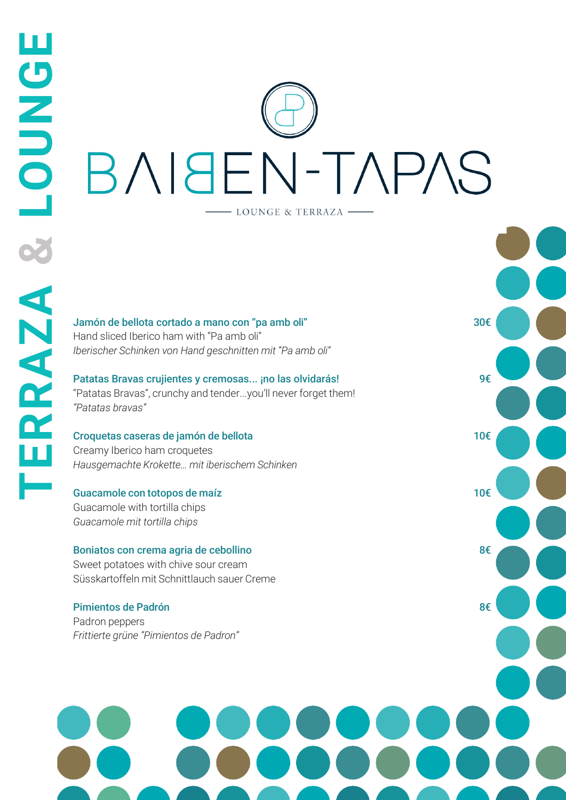# **LOUNGERRAZA &** BNISEN-TAPAS - LOUNGE & TERRAZA -

30€

9€

10€

10€

8€

8€

Jamón de bellota cortado a mano con "pa amb oli" Hand sliced Iberico ham with "Pa amb oli" *Iberischer Schinken von Hand geschnitten mit "Pa amb oli"*

Patatas Bravas crujientes y cremosas... ¡no las olvidarás! "Patatas Bravas", crunchy and tender...you'll never forget them! *"Patatas bravas"*

### Croquetas caseras de jamón de bellota

Creamy Iberico ham croquetes *Hausgemachte Krokette… mit iberischem Schinken*

### Guacamole con totopos de maíz

Guacamole with tortilla chips *Guacamole mit tortilla chips*

**AOUNCLE** 

X

ERRAZA

### Boniatos con crema agria de cebollino

Sweet potatoes with chive sour cream Süsskartoffeln mit Schnittlauch sauer Creme

### Pimientos de Padrón

Padron peppers *Frittierte grüne "Pimientos de Padron"*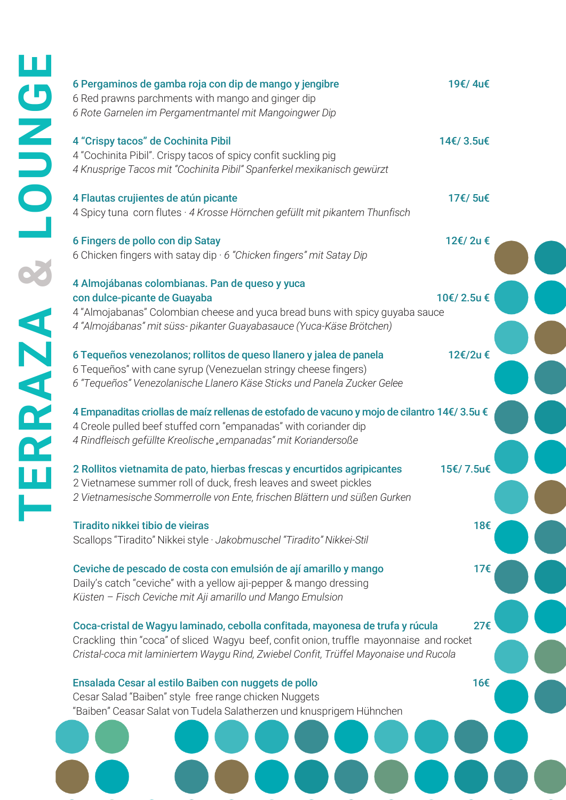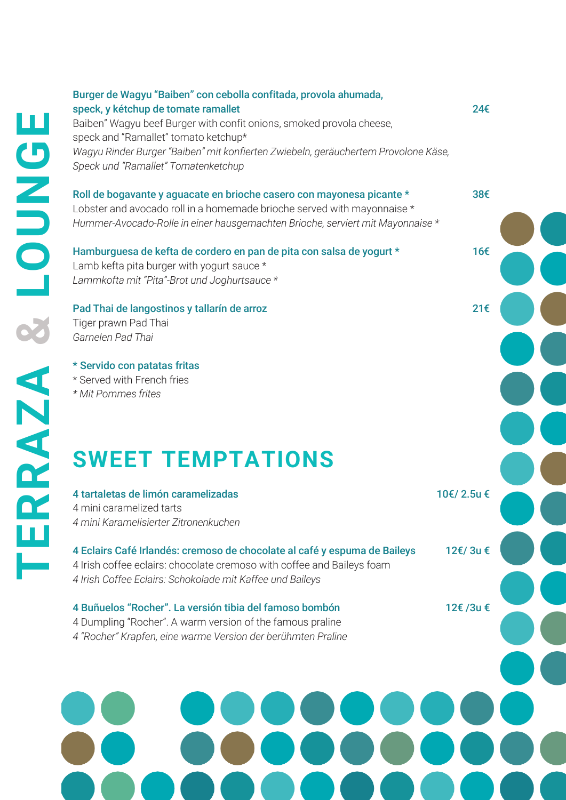Burger de Wagyu "Baiben" con cebolla confitada, provola ahumada, speck, y kétchup de tomate ramallet 24€ Baiben" Wagyu beef Burger with confit onions, smoked provola cheese, speck and "Ramallet" tomato ketchup\* *Wagyu Rinder Burger "Baiben" mit konfierten Zwiebeln, geräuchertem Provolone Käse, Speck und "Ramallet" Tomatenketchup*

Roll de bogavante y aguacate en brioche casero con mayonesa picante \* 38€ Lobster and avocado roll in a homemade brioche served with mayonnaise \*

*Hummer-Avocado-Rolle in einer hausgemachten Brioche, serviert mit Mayonnaise \**

Hamburguesa de kefta de cordero en pan de pita con salsa de yogurt \* 16€ Lamb kefta pita burger with yogurt sauce \* *Lammkofta mit "Pita"-Brot und Joghurtsauce \**

### Pad Thai de langostinos y tallarín de arroz 21€

Tiger prawn Pad Thai *Garnelen Pad Thai*

\* Servido con patatas fritas

\* Served with French fries

*\* Mit Pommes frites*

# **SWEET TEMPTATIONS**

# 4 tartaletas de limón caramelizadas 10€/ 2.5u €

4 mini caramelized tarts *4 mini Karamelisierter Zitronenkuchen*

### 4 Eclairs Café Irlandés: cremoso de chocolate al café y espuma de Baileys 12€/ 3u € 4 Irish coffee eclairs: chocolate cremoso with coffee and Baileys foam

*4 Irish Coffee Eclairs: Schokolade mit Kaffee und Baileys*

4 Buñuelos "Rocher". La versión tibia del famoso bombón 12€ /3u €

4 Dumpling "Rocher". A warm version of the famous praline

*4 "Rocher" Krapfen, eine warme Version der berühmten Praline*